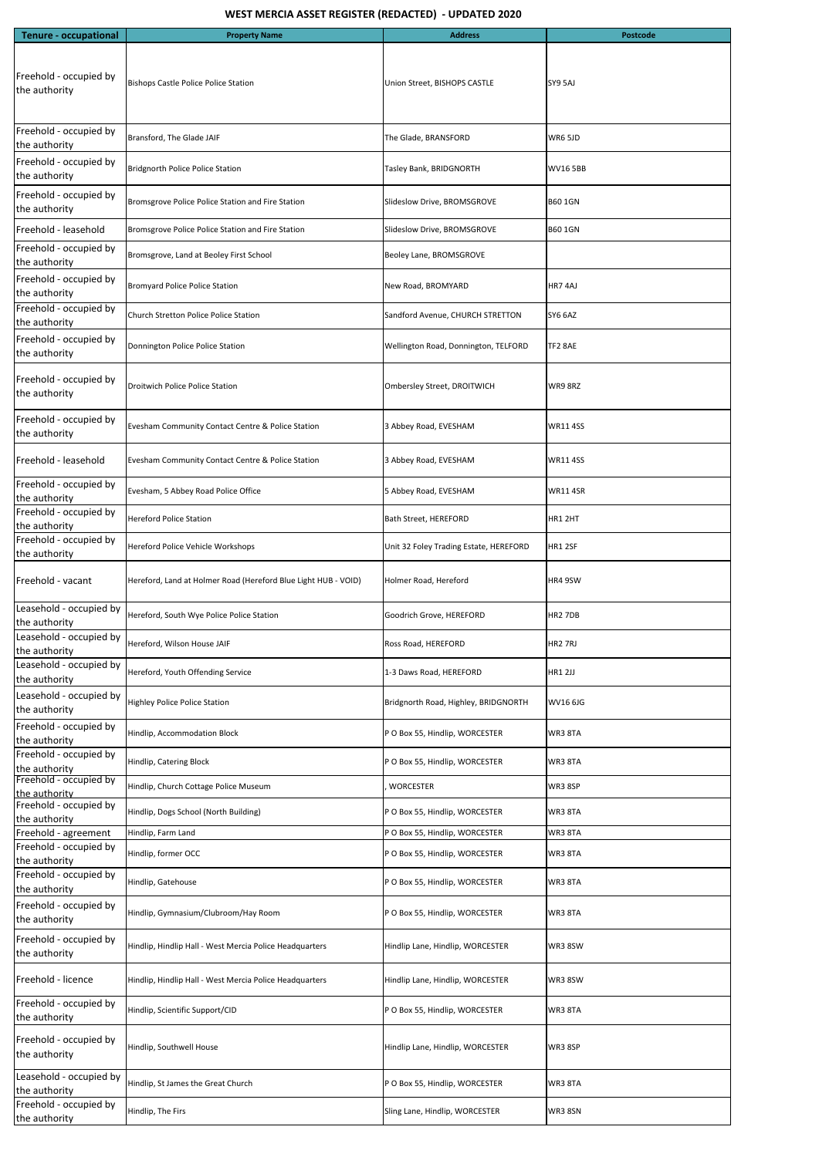| <b>Tenure - occupational</b>             | <b>Property Name</b>                                           | <b>Address</b>                         | <b>Postcode</b>     |
|------------------------------------------|----------------------------------------------------------------|----------------------------------------|---------------------|
| Freehold - occupied by<br>the authority  | <b>Bishops Castle Police Police Station</b>                    | Union Street, BISHOPS CASTLE           | SY9 5AJ             |
| Freehold - occupied by<br>the authority  | Bransford, The Glade JAIF                                      | The Glade, BRANSFORD                   | WR6 5JD             |
| Freehold - occupied by<br>the authority  | <b>Bridgnorth Police Police Station</b>                        | Tasley Bank, BRIDGNORTH                | <b>WV16 5BB</b>     |
| Freehold - occupied by<br>the authority  | Bromsgrove Police Police Station and Fire Station              | Slideslow Drive, BROMSGROVE            | <b>B60 1GN</b>      |
| Freehold - leasehold                     | Bromsgrove Police Police Station and Fire Station              | Slideslow Drive, BROMSGROVE            | <b>B60 1GN</b>      |
| Freehold - occupied by<br>the authority  | Bromsgrove, Land at Beoley First School                        | Beoley Lane, BROMSGROVE                |                     |
| Freehold - occupied by<br>the authority  | <b>Bromyard Police Police Station</b>                          | New Road, BROMYARD                     | HR74AJ              |
| Freehold - occupied by<br>the authority  | Church Stretton Police Police Station                          | Sandford Avenue, CHURCH STRETTON       | SY6 6AZ             |
| Freehold - occupied by<br>the authority  | Donnington Police Police Station                               | Wellington Road, Donnington, TELFORD   | TF2 8AE             |
| Freehold - occupied by<br>the authority  | Droitwich Police Police Station                                | Ombersley Street, DROITWICH            | WR98RZ              |
| Freehold - occupied by<br>the authority  | Evesham Community Contact Centre & Police Station              | 3 Abbey Road, EVESHAM                  | <b>WR11 4SS</b>     |
| IFreehold - leasehold                    | Evesham Community Contact Centre & Police Station              | 3 Abbey Road, EVESHAM                  | <b>WR11 4SS</b>     |
| Freehold - occupied by<br>the authority  | Evesham, 5 Abbey Road Police Office                            | 5 Abbey Road, EVESHAM                  | <b>WR11 4SR</b>     |
| Freehold - occupied by<br>the authority  | <b>Hereford Police Station</b>                                 | Bath Street, HEREFORD                  | HR1 2HT             |
| Freehold - occupied by<br>the authority  | Hereford Police Vehicle Workshops                              | Unit 32 Foley Trading Estate, HEREFORD | HR1 2SF             |
| Freehold - vacant                        | Hereford, Land at Holmer Road (Hereford Blue Light HUB - VOID) | Holmer Road, Hereford                  | HR4 9SW             |
| Leasehold - occupied by<br>the authority | Hereford, South Wye Police Police Station                      | Goodrich Grove, HEREFORD               | HR <sub>2</sub> 7DB |
| Leasehold - occupied by<br>the authority | Hereford, Wilson House JAIF                                    | Ross Road, HEREFORD                    | HR <sub>2</sub> 7RJ |
| Leasehold - occupied by<br>the authority | Hereford, Youth Offending Service                              | 1-3 Daws Road, HEREFORD                | <b>HR1 2JJ</b>      |
| Leasehold - occupied by<br>the authority | <b>Highley Police Police Station</b>                           | Bridgnorth Road, Highley, BRIDGNORTH   | <b>WV16 6JG</b>     |
| Freehold - occupied by<br>the authority  | Hindlip, Accommodation Block                                   | P O Box 55, Hindlip, WORCESTER         | WR3 8TA             |
| Freehold - occupied by<br>the authority  | Hindlip, Catering Block                                        | P O Box 55, Hindlip, WORCESTER         | WR3 8TA             |
| Freehold - occupied by<br>the authority  | Hindlip, Church Cottage Police Museum                          | <b>WORCESTER</b>                       | WR3 8SP             |
| Freehold - occupied by<br>the authority  | Hindlip, Dogs School (North Building)                          | P O Box 55, Hindlip, WORCESTER         | WR3 8TA             |
| Freehold - agreement                     | Hindlip, Farm Land                                             | P O Box 55, Hindlip, WORCESTER         | WR3 8TA             |
| Freehold - occupied by<br>the authority  | Hindlip, former OCC                                            | P O Box 55, Hindlip, WORCESTER         | WR3 8TA             |
| Freehold - occupied by<br>the authority  | Hindlip, Gatehouse                                             | P O Box 55, Hindlip, WORCESTER         | WR3 8TA             |
| Freehold - occupied by<br>the authority  | Hindlip, Gymnasium/Clubroom/Hay Room                           | P O Box 55, Hindlip, WORCESTER         | WR3 8TA             |
| Freehold - occupied by<br>the authority  | Hindlip, Hindlip Hall - West Mercia Police Headquarters        | Hindlip Lane, Hindlip, WORCESTER       | WR38SW              |
| Freehold - licence                       | Hindlip, Hindlip Hall - West Mercia Police Headquarters        | Hindlip Lane, Hindlip, WORCESTER       | WR38SW              |
| Freehold - occupied by<br>the authority  | Hindlip, Scientific Support/CID                                | P O Box 55, Hindlip, WORCESTER         | WR3 8TA             |
| Freehold - occupied by<br>the authority  | Hindlip, Southwell House                                       | Hindlip Lane, Hindlip, WORCESTER       | WR3 8SP             |
| Leasehold - occupied by<br>the authority | Hindlip, St James the Great Church                             | P O Box 55, Hindlip, WORCESTER         | WR3 8TA             |
| Freehold - occupied by<br>the authority  | Hindlip, The Firs                                              | Sling Lane, Hindlip, WORCESTER         | WR3 8SN             |

## WEST MERCIA ASSET REGISTER (REDACTED) - UPDATED 2020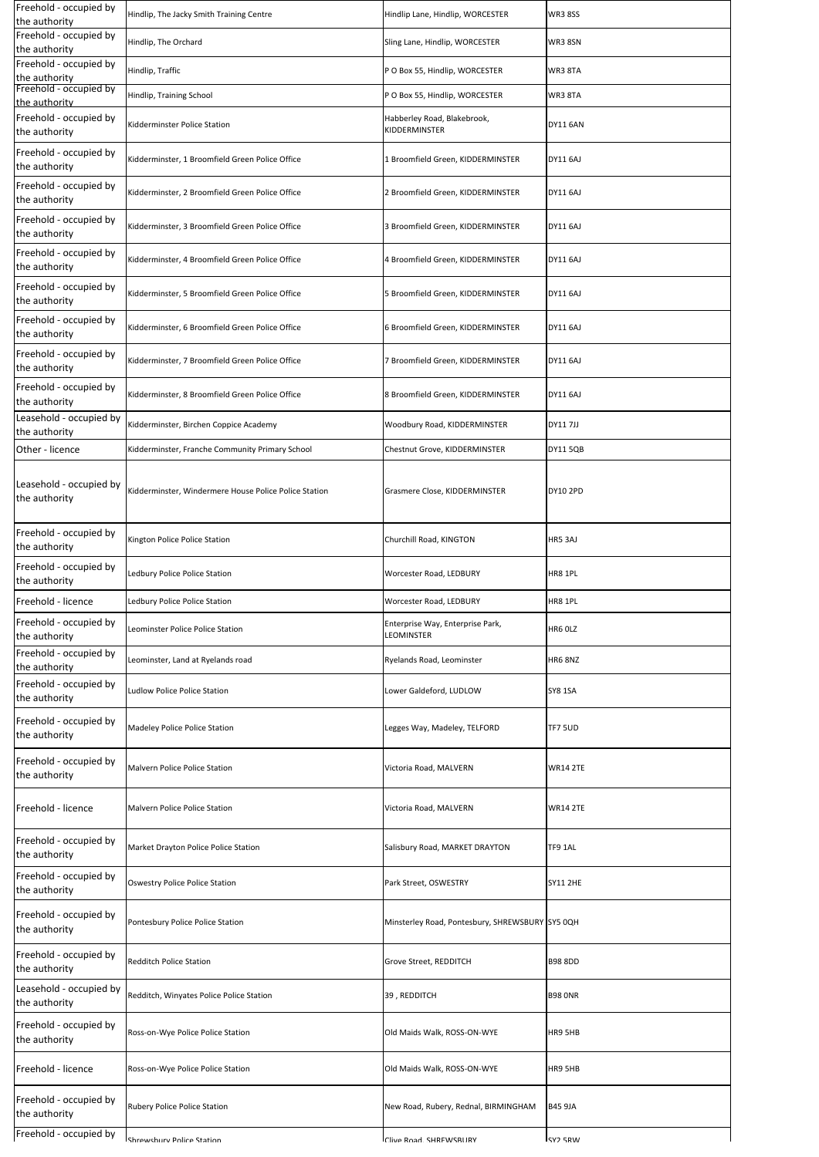| Freehold - occupied by<br>the authority  | Hindlip, The Jacky Smith Training Centre              | Hindlip Lane, Hindlip, WORCESTER                | <b>WR38SS</b>              |
|------------------------------------------|-------------------------------------------------------|-------------------------------------------------|----------------------------|
| Freehold - occupied by<br>the authority  | Hindlip, The Orchard                                  | Sling Lane, Hindlip, WORCESTER                  | WR3 8SN                    |
| Freehold - occupied by<br>the authority  | Hindlip, Traffic                                      | P O Box 55, Hindlip, WORCESTER                  | WR3 8TA                    |
| Freehold - occupied by<br>the authority  | Hindlip, Training School                              | P O Box 55, Hindlip, WORCESTER                  | <b>WR3 8TA</b>             |
| Freehold - occupied by<br>the authority  | <b>Kidderminster Police Station</b>                   | Habberley Road, Blakebrook,<br>KIDDERMINSTER    | <b>DY11 6AN</b>            |
| Freehold - occupied by<br>the authority  | Kidderminster, 1 Broomfield Green Police Office       | 1 Broomfield Green, KIDDERMINSTER               | DY11 6AJ                   |
| Freehold - occupied by<br>the authority  | Kidderminster, 2 Broomfield Green Police Office       | 2 Broomfield Green, KIDDERMINSTER               | <b>DY11 6AJ</b>            |
| Freehold - occupied by<br>the authority  | Kidderminster, 3 Broomfield Green Police Office       | 3 Broomfield Green, KIDDERMINSTER               | <b>DY11 6AJ</b>            |
| Freehold - occupied by<br>the authority  | Kidderminster, 4 Broomfield Green Police Office       | 4 Broomfield Green, KIDDERMINSTER               | <b>DY11 6AJ</b>            |
| Freehold - occupied by<br>the authority  | Kidderminster, 5 Broomfield Green Police Office       | 5 Broomfield Green, KIDDERMINSTER               | <b>DY11 6AJ</b>            |
| Freehold - occupied by<br>the authority  | Kidderminster, 6 Broomfield Green Police Office       | 6 Broomfield Green, KIDDERMINSTER               | <b>DY11 6AJ</b>            |
| Freehold - occupied by<br>the authority  | Kidderminster, 7 Broomfield Green Police Office       | 7 Broomfield Green, KIDDERMINSTER               | <b>DY11 6AJ</b>            |
| Freehold - occupied by<br>the authority  | Kidderminster, 8 Broomfield Green Police Office       | 8 Broomfield Green, KIDDERMINSTER               | <b>DY11 6AJ</b>            |
| Leasehold - occupied by<br>the authority | Kidderminster, Birchen Coppice Academy                | Woodbury Road, KIDDERMINSTER                    | <b>DY117JJ</b>             |
| Other - licence                          | Kidderminster, Franche Community Primary School       | Chestnut Grove, KIDDERMINSTER                   | <b>DY11 5QB</b>            |
| Leasehold - occupied by<br>the authority | Kidderminster, Windermere House Police Police Station | Grasmere Close, KIDDERMINSTER                   | <b>DY10 2PD</b>            |
| Freehold - occupied by<br>the authority  | Kington Police Police Station                         | Churchill Road, KINGTON                         | HR5 3AJ                    |
| Freehold - occupied by<br>the authority  | Ledbury Police Police Station                         | Worcester Road, LEDBURY                         | HR8 1PL                    |
| Freehold - licence                       | Ledbury Police Police Station                         | Worcester Road, LEDBURY                         | HR8 1PL                    |
| Freehold - occupied by<br>the authority  | Leominster Police Police Station                      | Enterprise Way, Enterprise Park,<br>LEOMINSTER  | HR6 OLZ                    |
| Freehold - occupied by<br>the authority  | Leominster, Land at Ryelands road                     | Ryelands Road, Leominster                       | HR68NZ                     |
| Freehold - occupied by<br>the authority  | <b>Ludlow Police Police Station</b>                   | Lower Galdeford, LUDLOW                         | <b>SY8 1SA</b>             |
| Freehold - occupied by<br>the authority  | <b>Madeley Police Police Station</b>                  | Legges Way, Madeley, TELFORD                    | TF7 5UD                    |
| Freehold - occupied by<br>the authority  | Malvern Police Police Station                         | Victoria Road, MALVERN                          | <b>WR14 2TE</b>            |
| Freehold - licence                       | <b>Malvern Police Police Station</b>                  | Victoria Road, MALVERN                          | <b>WR14 2TE</b>            |
| Freehold - occupied by<br>the authority  | Market Drayton Police Police Station                  | Salisbury Road, MARKET DRAYTON                  | TF9 1AL                    |
| Freehold - occupied by<br>the authority  | <b>Oswestry Police Police Station</b>                 | Park Street, OSWESTRY                           | <b>SY11 2HE</b>            |
| Freehold - occupied by<br>the authority  | Pontesbury Police Police Station                      | Minsterley Road, Pontesbury, SHREWSBURY SY5 0QH |                            |
| Freehold - occupied by<br>the authority  | <b>Redditch Police Station</b>                        | Grove Street, REDDITCH                          | <b>B98 8DD</b>             |
| Leasehold - occupied by<br>the authority | Redditch, Winyates Police Police Station              | 39, REDDITCH                                    | <b>B98 ONR</b>             |
| Freehold - occupied by<br>the authority  | Ross-on-Wye Police Police Station                     | Old Maids Walk, ROSS-ON-WYE                     | HR9 5HB                    |
| Freehold - licence                       | Ross-on-Wye Police Police Station                     | Old Maids Walk, ROSS-ON-WYE                     | HR9 5HB                    |
| Freehold - occupied by<br>the authority  | <b>Rubery Police Police Station</b>                   | New Road, Rubery, Rednal, BIRMINGHAM            | <b>B45 9JA</b>             |
| Freehold - occupied by                   | <b>Chrowchury Dolico Station</b>                      | Clive Road CHREW/CRIIRV                         | <b>CV<sub>2</sub></b> ERIM |